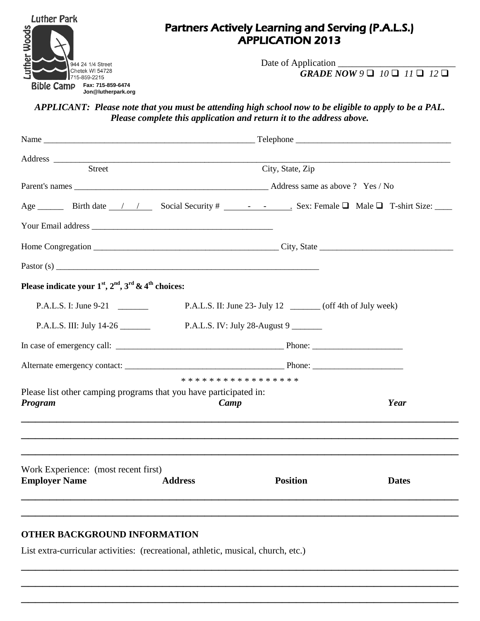

## Partners Actively Learning and Serving (P.A.L.S.) APPLICATION 2013

Date of Application \_  $GRADE$   $\overline{NOW9}$   $\Box$   $10$   $\Box$   $11$   $\Box$   $12$   $\Box$ 

*APPLICANT: Please note that you must be attending high school now to be eligible to apply to be a PAL. Please complete this application and return it to the address above.*

| Address                                                                              | <u> 1989 - Johann Harry Harry Harry Harry Harry Harry Harry Harry Harry Harry Harry Harry Harry Harry Harry Harry</u> |                                                              |              |  |
|--------------------------------------------------------------------------------------|-----------------------------------------------------------------------------------------------------------------------|--------------------------------------------------------------|--------------|--|
| <b>Street</b>                                                                        |                                                                                                                       | City, State, Zip                                             |              |  |
|                                                                                      |                                                                                                                       |                                                              |              |  |
|                                                                                      |                                                                                                                       |                                                              |              |  |
|                                                                                      |                                                                                                                       |                                                              |              |  |
|                                                                                      | Home Congregation City, State Congregation                                                                            |                                                              |              |  |
|                                                                                      |                                                                                                                       |                                                              |              |  |
| Please indicate your $1st$ , $2nd$ , $3rd$ & $4th$ choices:                          |                                                                                                                       |                                                              |              |  |
| P.A.L.S. I: June 9-21                                                                |                                                                                                                       | P.A.L.S. II: June 23- July 12 _______ (off 4th of July week) |              |  |
| P.A.L.S. III: July 14-26                                                             |                                                                                                                       | P.A.L.S. IV: July 28-August 9                                |              |  |
|                                                                                      |                                                                                                                       |                                                              |              |  |
|                                                                                      |                                                                                                                       |                                                              |              |  |
|                                                                                      |                                                                                                                       | * * * * * * * * * * * * * * * * *                            |              |  |
| Please list other camping programs that you have participated in:<br>Program<br>Camp |                                                                                                                       | Year                                                         |              |  |
|                                                                                      |                                                                                                                       |                                                              |              |  |
| Work Experience: (most recent first)                                                 |                                                                                                                       |                                                              |              |  |
| <b>Employer Name</b>                                                                 | <b>Address</b>                                                                                                        | <b>Position</b>                                              | <b>Dates</b> |  |
|                                                                                      |                                                                                                                       |                                                              |              |  |
|                                                                                      |                                                                                                                       |                                                              |              |  |

\_\_\_\_\_\_\_\_\_\_\_\_\_\_\_\_\_\_\_\_\_\_\_\_\_\_\_\_\_\_\_\_\_\_\_\_\_\_\_\_\_\_\_\_\_\_\_\_\_\_\_\_\_\_\_\_\_\_\_\_\_\_

\_\_\_\_\_\_\_\_\_\_\_\_\_\_\_\_\_\_\_\_\_\_\_\_\_\_\_\_\_\_\_\_\_\_\_\_\_\_\_\_\_\_\_\_\_\_\_\_\_\_\_\_\_\_\_\_\_\_\_\_\_\_

\_\_\_\_\_\_\_\_\_\_\_\_\_\_\_\_\_\_\_\_\_\_\_\_\_\_\_\_\_\_\_\_\_\_\_\_\_\_\_\_\_\_\_\_\_\_\_\_\_\_\_\_\_\_\_\_\_\_\_\_\_\_

## **OTHER BACKGROUND INFORMATION**

List extra-curricular activities: (recreational, athletic, musical, church, etc.)